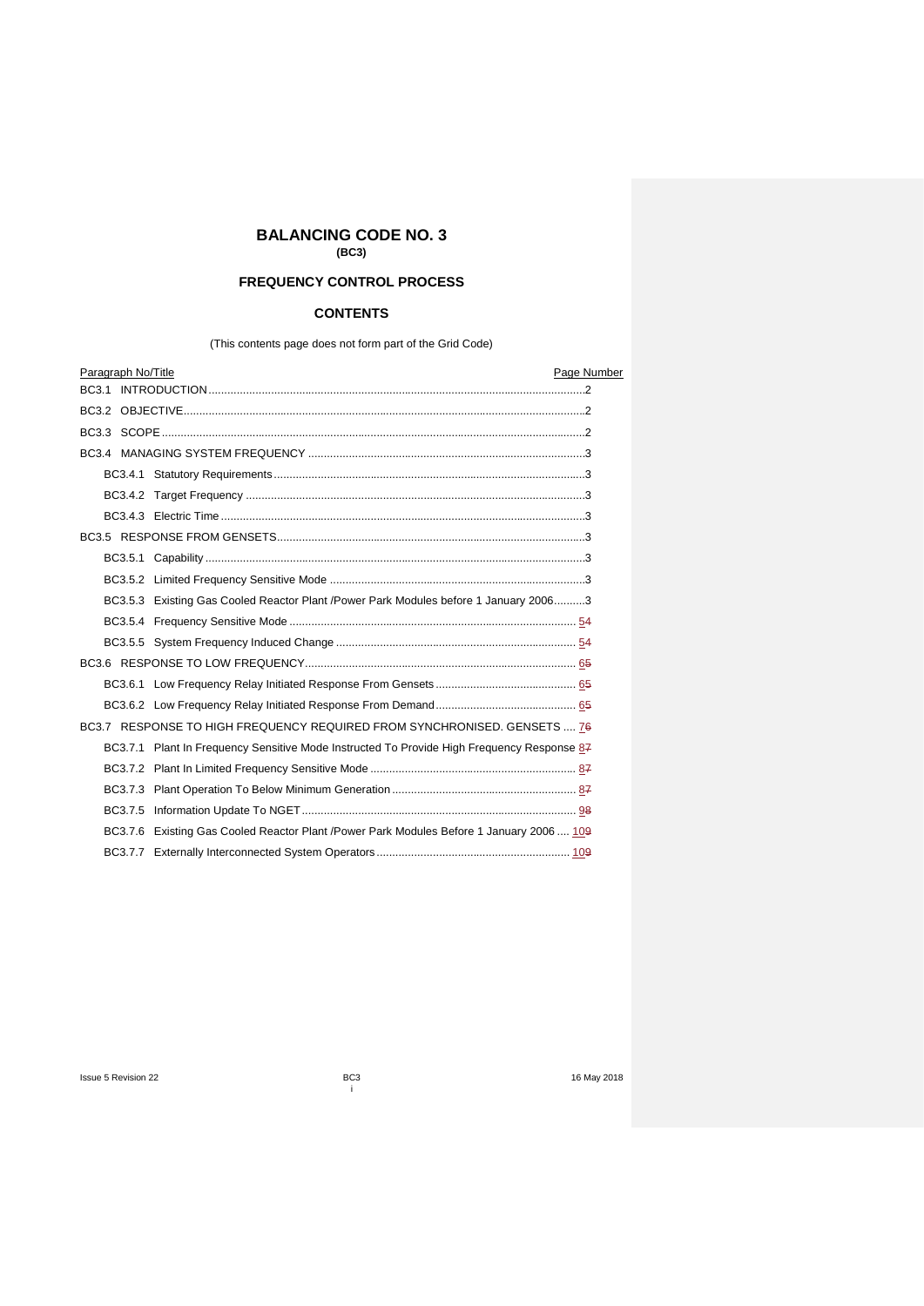# **BALANCING CODE NO. 3**

**(BC3)**

# **FREQUENCY CONTROL PROCESS**

# **CONTENTS**

(This contents page does not form part of the Grid Code)

|  |  | Paragraph No/Title |                                                                                            | Page Number |
|--|--|--------------------|--------------------------------------------------------------------------------------------|-------------|
|  |  |                    |                                                                                            |             |
|  |  |                    |                                                                                            |             |
|  |  |                    |                                                                                            |             |
|  |  |                    |                                                                                            |             |
|  |  |                    |                                                                                            |             |
|  |  |                    |                                                                                            |             |
|  |  |                    |                                                                                            |             |
|  |  |                    |                                                                                            |             |
|  |  |                    |                                                                                            |             |
|  |  |                    |                                                                                            |             |
|  |  |                    | BC3.5.3 Existing Gas Cooled Reactor Plant /Power Park Modules before 1 January 20063       |             |
|  |  |                    |                                                                                            |             |
|  |  |                    |                                                                                            |             |
|  |  |                    |                                                                                            |             |
|  |  |                    |                                                                                            |             |
|  |  |                    |                                                                                            |             |
|  |  |                    | BC3.7 RESPONSE TO HIGH FREQUENCY REQUIRED FROM SYNCHRONISED. GENSETS  76                   |             |
|  |  |                    | BC3.7.1 Plant In Frequency Sensitive Mode Instructed To Provide High Frequency Response 87 |             |
|  |  |                    |                                                                                            |             |
|  |  |                    |                                                                                            |             |
|  |  |                    |                                                                                            |             |
|  |  |                    | BC3.7.6 Existing Gas Cooled Reactor Plant /Power Park Modules Before 1 January 2006  109   |             |
|  |  |                    |                                                                                            |             |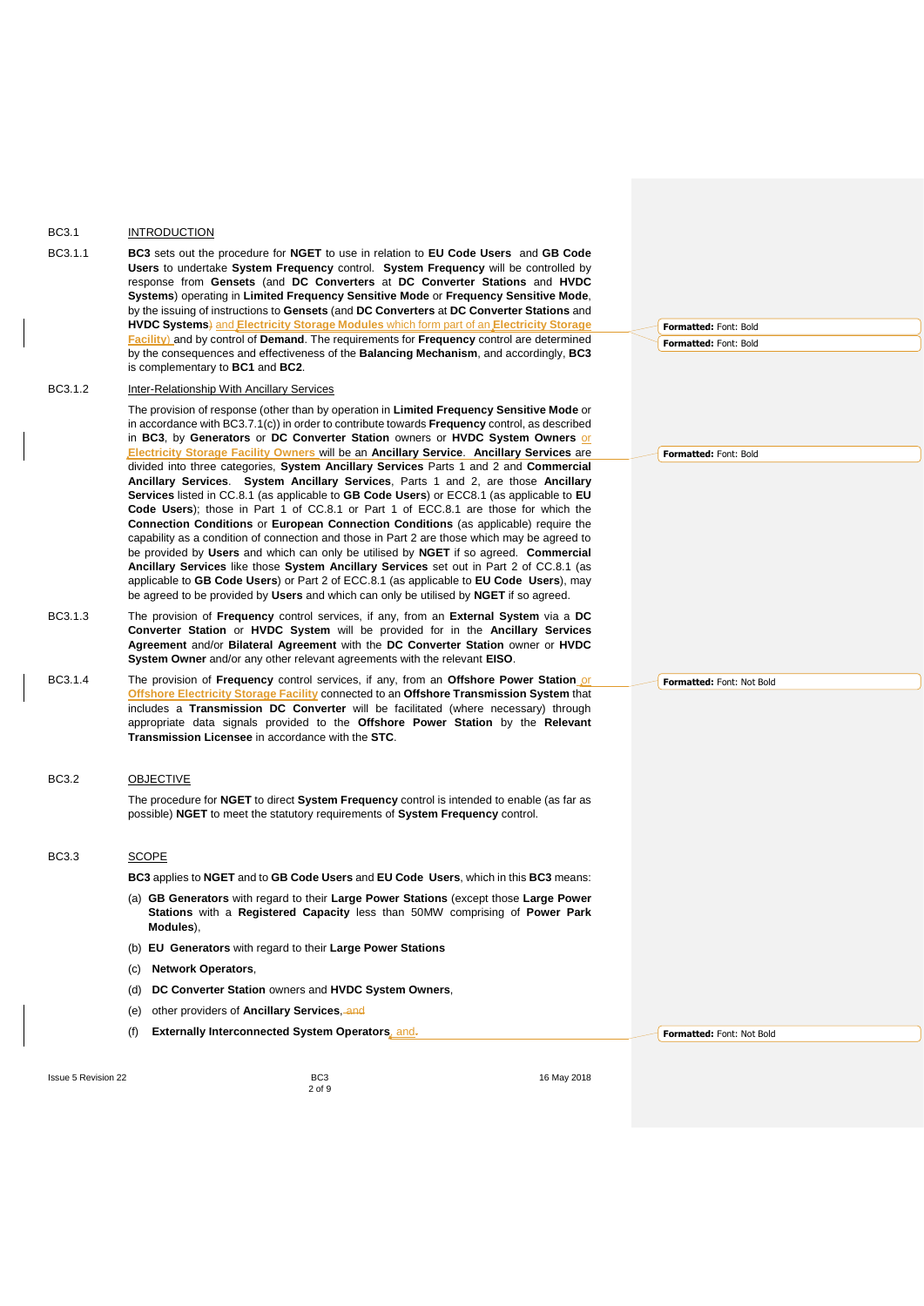# <span id="page-1-0"></span>BC3.1 INTRODUCTION

BC3.1.1 **BC3** sets out the procedure for **NGET** to use in relation to **EU Code Users** and **GB Code Users** to undertake **System Frequency** control. **System Frequency** will be controlled by response from **Gensets** (and **DC Converters** at **DC Converter Stations** and **HVDC Systems**) operating in **Limited Frequency Sensitive Mode** or **Frequency Sensitive Mode**, by the issuing of instructions to **Gensets** (and **DC Converters** at **DC Converter Stations** and **HVDC Systems**) and **Electricity Storage Modules** which form part of an **Electricity Storage Facility**) and by control of **Demand**. The requirements for **Frequency** control are determined by the consequences and effectiveness of the **Balancing Mechanism**, and accordingly, **BC3** is complementary to **BC1** and **BC2**.

## BC3.1.2 Inter-Relationship With Ancillary Services

The provision of response (other than by operation in **Limited Frequency Sensitive Mode** or in accordance with BC3.7.1(c)) in order to contribute towards **Frequency** control, as described in **BC3**, by **Generators** or **DC Converter Station** owners or **HVDC System Owners** or **Electricity Storage Facility Owners** will be an **Ancillary Service**. **Ancillary Services** are divided into three categories, **System Ancillary Services** Parts 1 and 2 and **Commercial Ancillary Services**. **System Ancillary Services**, Parts 1 and 2, are those **Ancillary Services** listed in CC.8.1 (as applicable to **GB Code Users**) or ECC8.1 (as applicable to **EU Code Users**); those in Part 1 of CC.8.1 or Part 1 of ECC.8.1 are those for which the **Connection Conditions** or **European Connection Conditions** (as applicable) require the capability as a condition of connection and those in Part 2 are those which may be agreed to be provided by **Users** and which can only be utilised by **NGET** if so agreed. **Commercial Ancillary Services** like those **System Ancillary Services** set out in Part 2 of CC.8.1 (as applicable to **GB Code Users**) or Part 2 of ECC.8.1 (as applicable to **EU Code Users**), may be agreed to be provided by **Users** and which can only be utilised by **NGET** if so agreed.

- BC3.1.3 The provision of **Frequency** control services, if any, from an **External System** via a **DC Converter Station** or **HVDC System** will be provided for in the **Ancillary Services Agreement** and/or **Bilateral Agreement** with the **DC Converter Station** owner or **HVDC System Owner** and/or any other relevant agreements with the relevant **EISO**.
- BC3.1.4 The provision of **Frequency** control services, if any, from an **Offshore Power Station** or **Offshore Electricity Storage Facility** connected to an **Offshore Transmission System** that includes a **Transmission DC Converter** will be facilitated (where necessary) through appropriate data signals provided to the **Offshore Power Station** by the **Relevant Transmission Licensee** in accordance with the **STC**.

#### BC3.2 OBJECTIVE

<span id="page-1-1"></span>The procedure for **NGET** to direct **System Frequency** control is intended to enable (as far as possible) **NGET** to meet the statutory requirements of **System Frequency** control.

#### BC3.3 SCOPE

<span id="page-1-2"></span>**BC3** applies to **NGET** and to **GB Code Users** and **EU Code Users**, which in this **BC3** means:

- (a) **GB Generators** with regard to their **Large Power Stations** (except those **Large Power Stations** with a **Registered Capacity** less than 50MW comprising of **Power Park Modules**),
- (b) **EU Generators** with regard to their **Large Power Stations**
- (c) **Network Operators**,
- (d) **DC Converter Station** owners and **HVDC System Owners**,

2 of 9

- (e) other providers of **Ancillary Services**, and
- (f) **Externally Interconnected System Operators**, and.

**Formatted:** Font: Not Bold

**Formatted:** Font: Bold **Formatted:** Font: Bold

**Formatted:** Font: Bold

**Formatted:** Font: Not Bold

Issue 5 Revision 22 **BC3** BC3 16 May 2018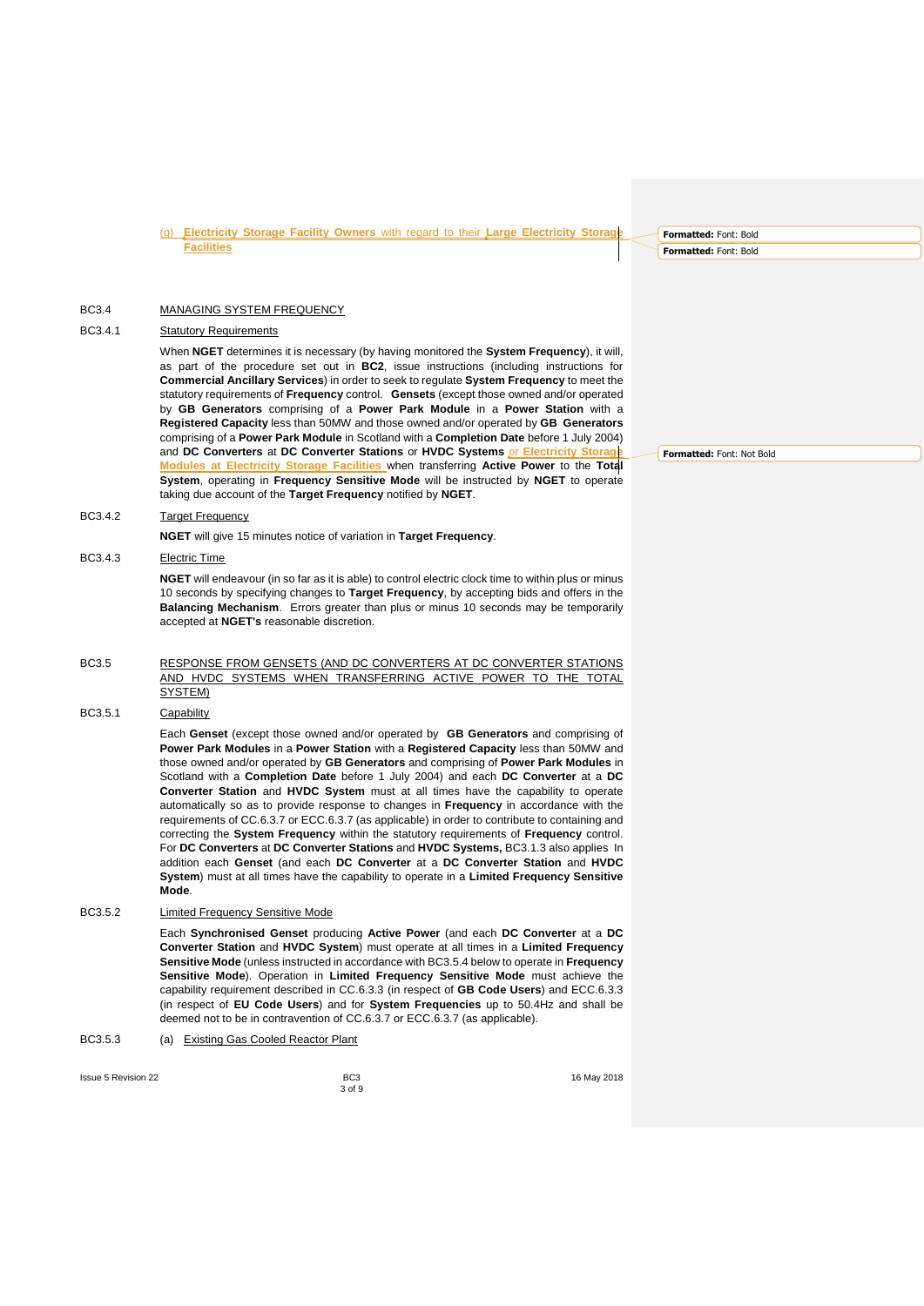(g) **Electricity Storage Facility Owners** with regard to their **Large Electricity Storage Facilities**

## BC3.4 MANAGING SYSTEM FREQUENCY

# BC3.4.1 **Statutory Requirements**

<span id="page-2-1"></span><span id="page-2-0"></span>When **NGET** determines it is necessary (by having monitored the **System Frequency**), it will, as part of the procedure set out in **BC2**, issue instructions (including instructions for **Commercial Ancillary Services**) in order to seek to regulate **System Frequency** to meet the statutory requirements of **Frequency** control. **Gensets** (except those owned and/or operated by **GB Generators** comprising of a **Power Park Module** in a **Power Station** with a **Registered Capacity** less than 50MW and those owned and/or operated by **GB Generators** comprising of a **Power Park Module** in Scotland with a **Completion Date** before 1 July 2004) and **DC Converters** at **DC Converter Stations** or **HVDC Systems** or **Electricity Storage Modules at Electricity Storage Facilities** when transferring **Active Power** to the **Total System**, operating in **Frequency Sensitive Mode** will be instructed by **NGET** to operate taking due account of the **Target Frequency** notified by **NGET**.

# BC3.4.2 Target Frequency

**NGET** will give 15 minutes notice of variation in **Target Frequency**.

#### BC3.4.3 Electric Time

<span id="page-2-3"></span><span id="page-2-2"></span>**NGET** will endeavour (in so far as it is able) to control electric clock time to within plus or minus 10 seconds by specifying changes to **Target Frequency**, by accepting bids and offers in the **Balancing Mechanism**. Errors greater than plus or minus 10 seconds may be temporarily accepted at **NGET's** reasonable discretion.

#### BC3.5 RESPONSE FROM GENSETS (AND DC CONVERTERS AT DC CONVERTER STATIONS AND HVDC SYSTEMS WHEN TRANSFERRING ACTIVE POWER TO THE TOTAL SYSTEM)

### BC3.5.1 Capability

<span id="page-2-5"></span><span id="page-2-4"></span>Each **Genset** (except those owned and/or operated by **GB Generators** and comprising of **Power Park Modules** in a **Power Station** with a **Registered Capacity** less than 50MW and those owned and/or operated by **GB Generators** and comprising of **Power Park Modules** in Scotland with a **Completion Date** before 1 July 2004) and each **DC Converter** at a **DC Converter Station** and **HVDC System** must at all times have the capability to operate automatically so as to provide response to changes in **Frequency** in accordance with the requirements of CC.6.3.7 or ECC.6.3.7 (as applicable) in order to contribute to containing and correcting the **System Frequency** within the statutory requirements of **Frequency** control. For **DC Converters** at **DC Converter Stations** and **HVDC Systems,** BC3.1.3 also appliesIn addition each **Genset** (and each **DC Converter** at a **DC Converter Station** and **HVDC System**) must at all times have the capability to operate in a **Limited Frequency Sensitive Mode**.

## BC3.5.2 Limited Frequency Sensitive Mode

<span id="page-2-6"></span>Each **Synchronised Genset** producing **Active Power** (and each **DC Converter** at a **DC Converter Station** and **HVDC System**) must operate at all times in a **Limited Frequency Sensitive Mode** (unless instructed in accordance with BC3.5.4 below to operate in **Frequency Sensitive Mode**). Operation in **Limited Frequency Sensitive Mode** must achieve the capability requirement described in CC.6.3.3 (in respect of **GB Code Users**) and ECC.6.3.3 (in respect of **EU Code Users**) and for **System Frequencies** up to 50.4Hz and shall be deemed not to be in contravention of CC.6.3.7 or ECC.6.3.7 (as applicable).

#### BC3.5.3 (a) Existing Gas Cooled Reactor Plant

**Issue 5 Revision 22 BC3 BC3 BC3 If the set of the set of the set of the set of the set of the set of the set of the set of the set of the set of the set of the set of the set of the set of the set of the set of th** 

<span id="page-2-7"></span>3 of 9

**Formatted:** Font: Not Bold

**Formatted:** Font: Bold **Formatted:** Font: Bold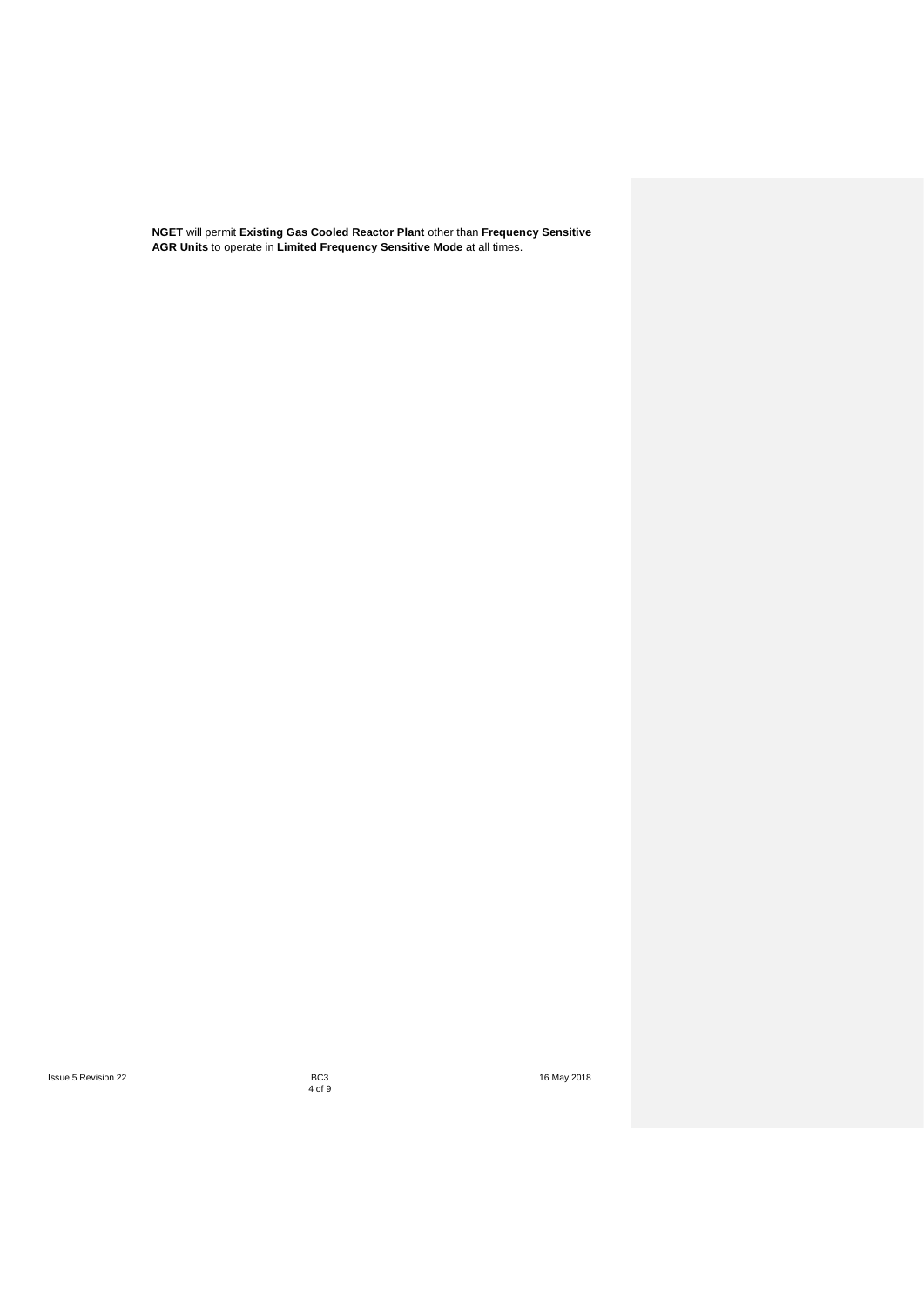**NGET** will permit **Existing Gas Cooled Reactor Plant** other than **Frequency Sensitive AGR Units** to operate in **Limited Frequency Sensitive Mode** at all times.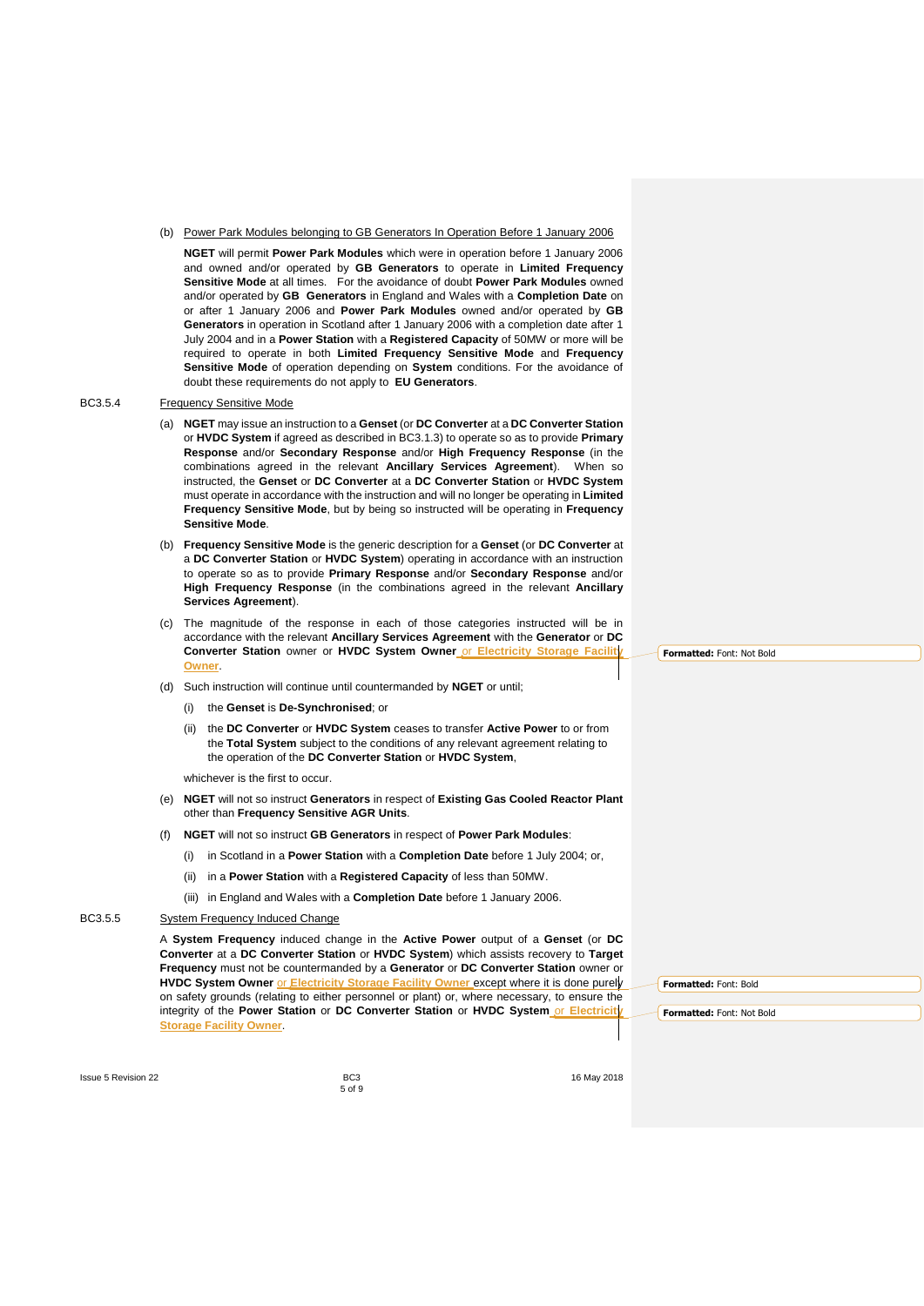#### (b) Power Park Modules belonging to GB Generators In Operation Before 1 January 2006

**NGET** will permit **Power Park Modules** which were in operation before 1 January 2006 and owned and/or operated by **GB Generators** to operate in **Limited Frequency Sensitive Mode** at all times. For the avoidance of doubt **Power Park Modules** owned and/or operated by **GB Generators** in England and Wales with a **Completion Date** on or after 1 January 2006 and **Power Park Modules** owned and/or operated by **GB Generators** in operation in Scotland after 1 January 2006 with a completion date after 1 July 2004 and in a **Power Station** with a **Registered Capacity** of 50MW or more will be required to operate in both **Limited Frequency Sensitive Mode** and **Frequency Sensitive Mode** of operation depending on **System** conditions. For the avoidance of doubt these requirements do not apply to **EU Generators**.

#### BC3.5.4 Frequency Sensitive Mode

- <span id="page-4-0"></span>(a) **NGET** may issue an instruction to a **Genset** (or **DC Converter** at a **DC Converter Station**  or **HVDC System** if agreed as described in BC3.1.3) to operate so as to provide **Primary Response** and/or **Secondary Response** and/or **High Frequency Response** (in the combinations agreed in the relevant **Ancillary Services Agreement**). When so instructed, the **Genset** or **DC Converter** at a **DC Converter Station** or **HVDC System** must operate in accordance with the instruction and will no longer be operating in **Limited Frequency Sensitive Mode**, but by being so instructed will be operating in **Frequency Sensitive Mode**.
- (b) **Frequency Sensitive Mode** is the generic description for a **Genset** (or **DC Converter** at a **DC Converter Station** or **HVDC System**) operating in accordance with an instruction to operate so as to provide **Primary Response** and/or **Secondary Response** and/or **High Frequency Response** (in the combinations agreed in the relevant **Ancillary Services Agreement**).
- (c) The magnitude of the response in each of those categories instructed will be in accordance with the relevant **Ancillary Services Agreement** with the **Generator** or **DC Converter Station** owner or **HVDC System Owner** or **Electricity Storage Facility Owner**.
- (d) Such instruction will continue until countermanded by **NGET** or until;
	- (i) the **Genset** is **De-Synchronised**; or
	- (ii) the **DC Converter** or **HVDC System** ceases to transfer **Active Power** to or from the **Total System** subject to the conditions of any relevant agreement relating to the operation of the **DC Converter Station** or **HVDC System**,

whichever is the first to occur.

- (e) **NGET** will not so instruct **Generators** in respect of **Existing Gas Cooled Reactor Plant** other than **Frequency Sensitive AGR Units**.
- (f) **NGET** will not so instruct **GB Generators** in respect of **Power Park Modules**:
	- (i) in Scotland in a **Power Station** with a **Completion Date** before 1 July 2004; or,
	- (ii) in a **Power Station** with a **Registered Capacity** of less than 50MW.
	- (iii) in England and Wales with a **Completion Date** before 1 January 2006.

# BC3.5.5 System Frequency Induced Change

A **System Frequency** induced change in the **Active Power** output of a **Genset** (or **DC Converter** at a **DC Converter Station** or **HVDC System**) which assists recovery to **Target Frequency** must not be countermanded by a **Generator** or **DC Converter Station** owner or **HVDC System Owner** or **Electricity Storage Facility Owner** except where it is done purely on safety grounds (relating to either personnel or plant) or, where necessary, to ensure the integrity of the **Power Station** or **DC Converter Station** or **HVDC System** or **Electricity Storage Facility Owner**.

**Formatted:** Font: Bold

**Formatted:** Font: Not Bold

**Issue 5 Revision 22 BC3 BC3 BC3 If the set of the set of the set of the set of the set of the set of the set of the set of the set of the set of the set of the set of the set of the set of the set of the set of th** 

<span id="page-4-1"></span>5 of 9

**Formatted:** Font: Not Bold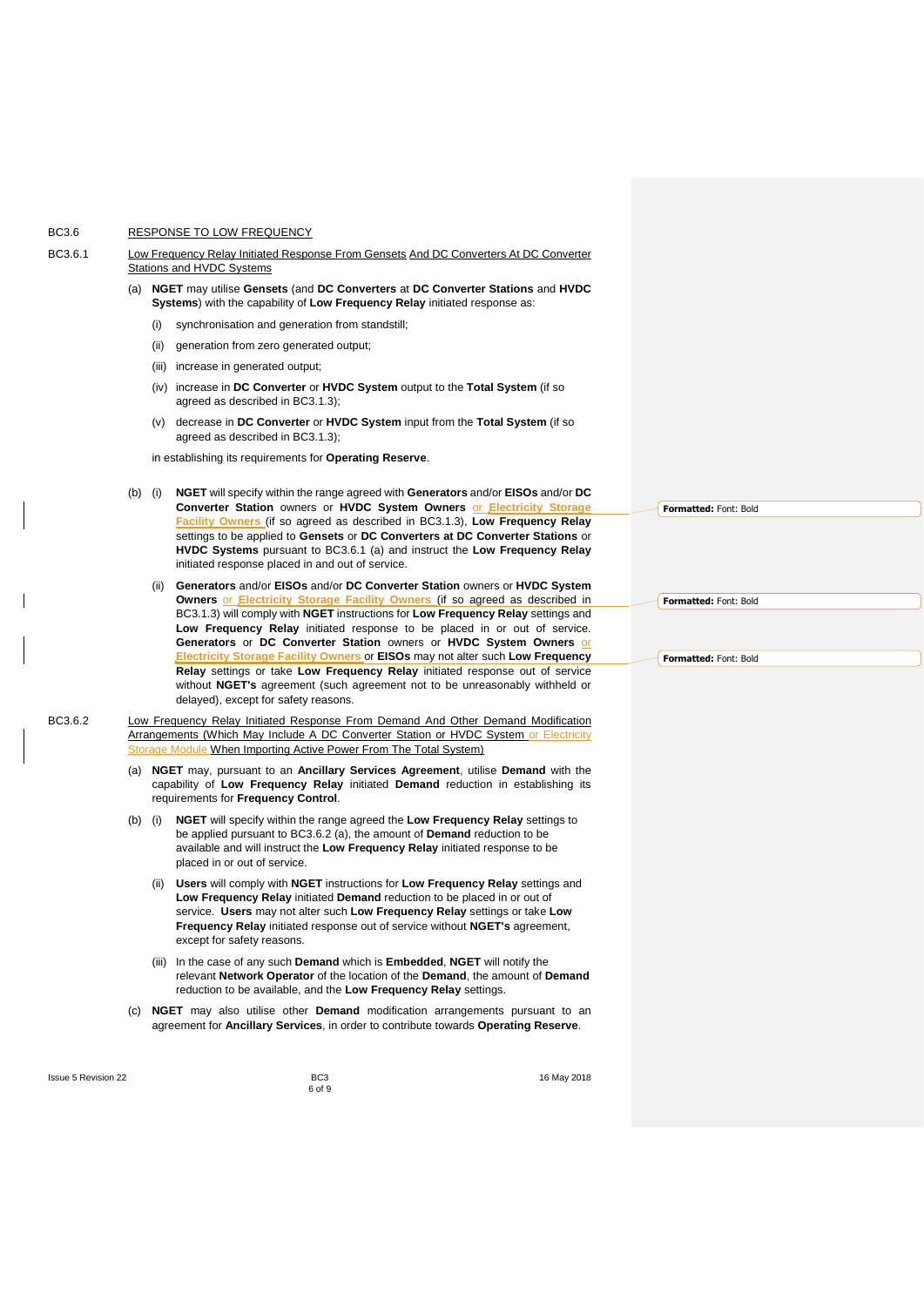# BC3.6 RESPONSE TO LOW FREQUENCY

| BC3.6.1 | Low Frequency Relay Initiated Response From Gensets And DC Converters At DC Converter |
|---------|---------------------------------------------------------------------------------------|
|         | Stations and HVDC Systems                                                             |
|         | NGET may utilise Gensets (and DC Converters at DC Converter Stations and HVDC         |
|         | Systems) with the capability of Low Frequency Relay initiated response as:            |

- <span id="page-5-1"></span><span id="page-5-0"></span>(i) synchronisation and generation from standstill;
- (ii) generation from zero generated output:
- (iii) increase in generated output;
- (iv) increase in **DC Converter** or **HVDC System** output to the **Total System** (if so agreed as described in BC3.1.3);
- (v) decrease in **DC Converter** or **HVDC System** input from the **Total System** (if so agreed as described in BC3.1.3);
- in establishing its requirements for **Operating Reserve**.
- (b) (i) **NGET** will specify within the range agreed with **Generators** and/or **EISOs** and/or **DC Converter Station** owners or **HVDC System Owners** or **Electricity Storage Facility Owners** (if so agreed as described in BC3.1.3), **Low Frequency Relay** settings to be applied to **Gensets** or **DC Converters at DC Converter Stations** or **HVDC Systems** pursuant to BC3.6.1 (a) and instruct the **Low Frequency Relay** initiated response placed in and out of service.
	- (ii) **Generators** and/or **EISOs** and/or **DC Converter Station** owners or **HVDC System Owners** or **Electricity Storage Facility Owners** (if so agreed as described in BC3.1.3) will comply with **NGET** instructions for **Low Frequency Relay** settings and **Low Frequency Relay** initiated response to be placed in or out of service. **Generators** or **DC Converter Station** owners or **HVDC System Owners** or **Ectricity Storage Facility Owners** or **EISOs** may not alter such Low Frequency **Relay** settings or take **Low Frequency Relay** initiated response out of service without **NGET's** agreement (such agreement not to be unreasonably withheld or delayed), except for safety reasons.
- BC3.6.2 Low Frequency Relay Initiated Response From Demand And Other Demand Modification Arrangements (Which May Include A DC Converter Station or HVDC System or Electricity Module When Importing Active Power From The Total System)
	- (a) **NGET** may, pursuant to an **Ancillary Services Agreement**, utilise **Demand** with the capability of **Low Frequency Relay** initiated **Demand** reduction in establishing its requirements for **Frequency Control**.
	- (b) (i) **NGET** will specify within the range agreed the **Low Frequency Relay** settings to be applied pursuant to BC3.6.2 (a), the amount of **Demand** reduction to be available and will instruct the **Low Frequency Relay** initiated response to be placed in or out of service.
		- (ii) **Users** will comply with **NGET** instructions for **Low Frequency Relay** settings and **Low Frequency Relay** initiated **Demand** reduction to be placed in or out of service. **Users** may not alter such **Low Frequency Relay** settings or take **Low Frequency Relay** initiated response out of service without **NGET's** agreement, except for safety reasons.
		- (iii) In the case of any such **Demand** which is **Embedded**, **NGET** will notify the relevant **Network Operator** of the location of the **Demand**, the amount of **Demand** reduction to be available, and the **Low Frequency Relay** settings.
	- (c) **NGET** may also utilise other **Demand** modification arrangements pursuant to an agreement for **Ancillary Services**, in order to contribute towards **Operating Reserve**.

Issue 5 Revision 22 **Issue 5 Revision 22 BC3** BC3 **16 May 2018** 

**Formatted:** Font: Bold

**Formatted:** Font: Bold

<span id="page-5-2"></span>**Formatted:** Font: Bold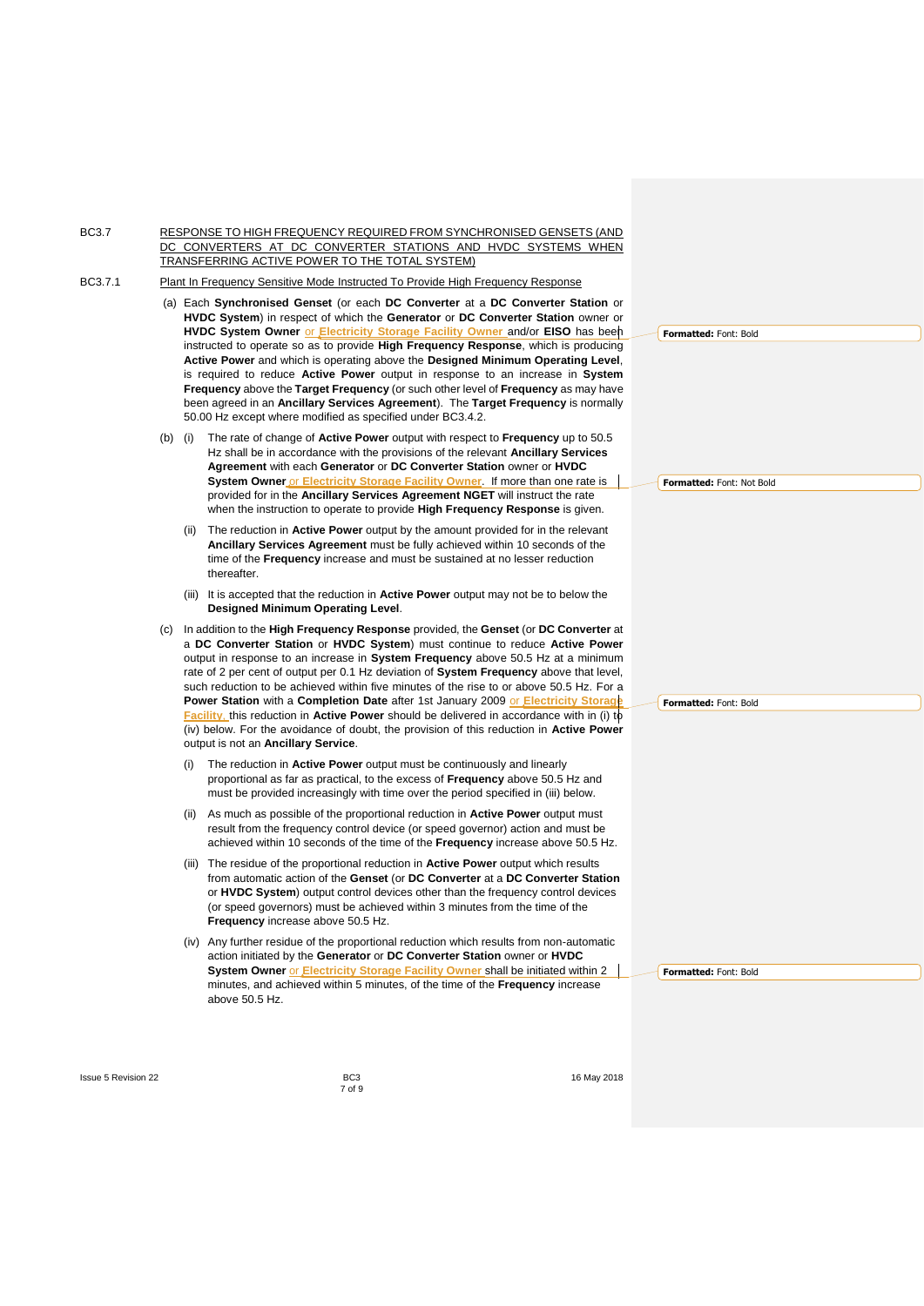BC3.7 RESPONSE TO HIGH FREQUENCY REQUIRED FROM SYNCHRONISED GENSETS (AND DC CONVERTERS AT DC CONVERTER STATIONS AND HVDC SYSTEMS WHEN TRANSFERRING ACTIVE POWER TO THE TOTAL SYSTEM)

BC3.7.1 Plant In Frequency Sensitive Mode Instructed To Provide High Frequency Response

- (a) Each **Synchronised Genset** (or each **DC Converter** at a **DC Converter Station** or **HVDC System**) in respect of which the **Generator** or **DC Converter Station** owner or **HVDC System Owner** or **Electricity Storage Facility Owner** and/or **EISO** has been instructed to operate so as to provide **High Frequency Response**, which is producing **Active Power** and which is operating above the **Designed Minimum Operating Level**, is required to reduce **Active Power** output in response to an increase in **System Frequency** above the **Target Frequency** (or such other level of **Frequency** as may have been agreed in an **Ancillary Services Agreement**). The **Target Frequency** is normally 50.00 Hz except where modified as specified under BC3.4.2.
- (b) (i) The rate of change of **Active Power** output with respect to **Frequency** up to 50.5 Hz shall be in accordance with the provisions of the relevant **Ancillary Services Agreement** with each **Generator** or **DC Converter Station** owner or **HVDC System Owner** or **Electricity Storage Facility Owner**. If more than one rate is provided for in the **Ancillary Services Agreement NGET** will instruct the rate when the instruction to operate to provide **High Frequency Response** is given.
	- (ii) The reduction in **Active Power** output by the amount provided for in the relevant **Ancillary Services Agreement** must be fully achieved within 10 seconds of the time of the **Frequency** increase and must be sustained at no lesser reduction thereafter.
	- (iii) It is accepted that the reduction in **Active Power** output may not be to below the **Designed Minimum Operating Level**.
- (c) In addition to the **High Frequency Response** provided, the **Genset** (or **DC Converter** at a **DC Converter Station** or **HVDC System**) must continue to reduce **Active Power**  output in response to an increase in **System Frequency** above 50.5 Hz at a minimum rate of 2 per cent of output per 0.1 Hz deviation of **System Frequency** above that level, such reduction to be achieved within five minutes of the rise to or above 50.5 Hz. For a **Power Station** with a **Completion Date** after 1st January 2009 or **Electricity Storage Facility**, this reduction in **Active Power** should be delivered in accordance with in (i) to (iv) below. For the avoidance of doubt, the provision of this reduction in **Active Power** output is not an **Ancillary Service**.
	- The reduction in Active Power output must be continuously and linearly proportional as far as practical, to the excess of **Frequency** above 50.5 Hz and must be provided increasingly with time over the period specified in (iii) below.
	- (ii) As much as possible of the proportional reduction in **Active Power** output must result from the frequency control device (or speed governor) action and must be achieved within 10 seconds of the time of the **Frequency** increase above 50.5 Hz.
	- (iii) The residue of the proportional reduction in **Active Power** output which results from automatic action of the **Genset** (or **DC Converter** at a **DC Converter Station** or **HVDC System**) output control devices other than the frequency control devices (or speed governors) must be achieved within 3 minutes from the time of the **Frequency** increase above 50.5 Hz.
	- (iv) Any further residue of the proportional reduction which results from non-automatic action initiated by the **Generator** or **DC Converter Station** owner or **HVDC System Owner** or **Electricity Storage Facility Owner** shall be initiated within 2 minutes, and achieved within 5 minutes, of the time of the **Frequency** increase above 50.5 Hz.

<span id="page-6-0"></span>**Formatted:** Font: Bold

**Formatted:** Font: Not Bold

**Formatted:** Font: Bold

**Formatted:** Font: Bold

**Issue 5 Revision 22 BC3 BC3 BC3 If the set of the set of the set of the set of the set of the set of the set of the set of the set of the set of the set of the set of the set of the set of the set of the set of th** 

7 of 9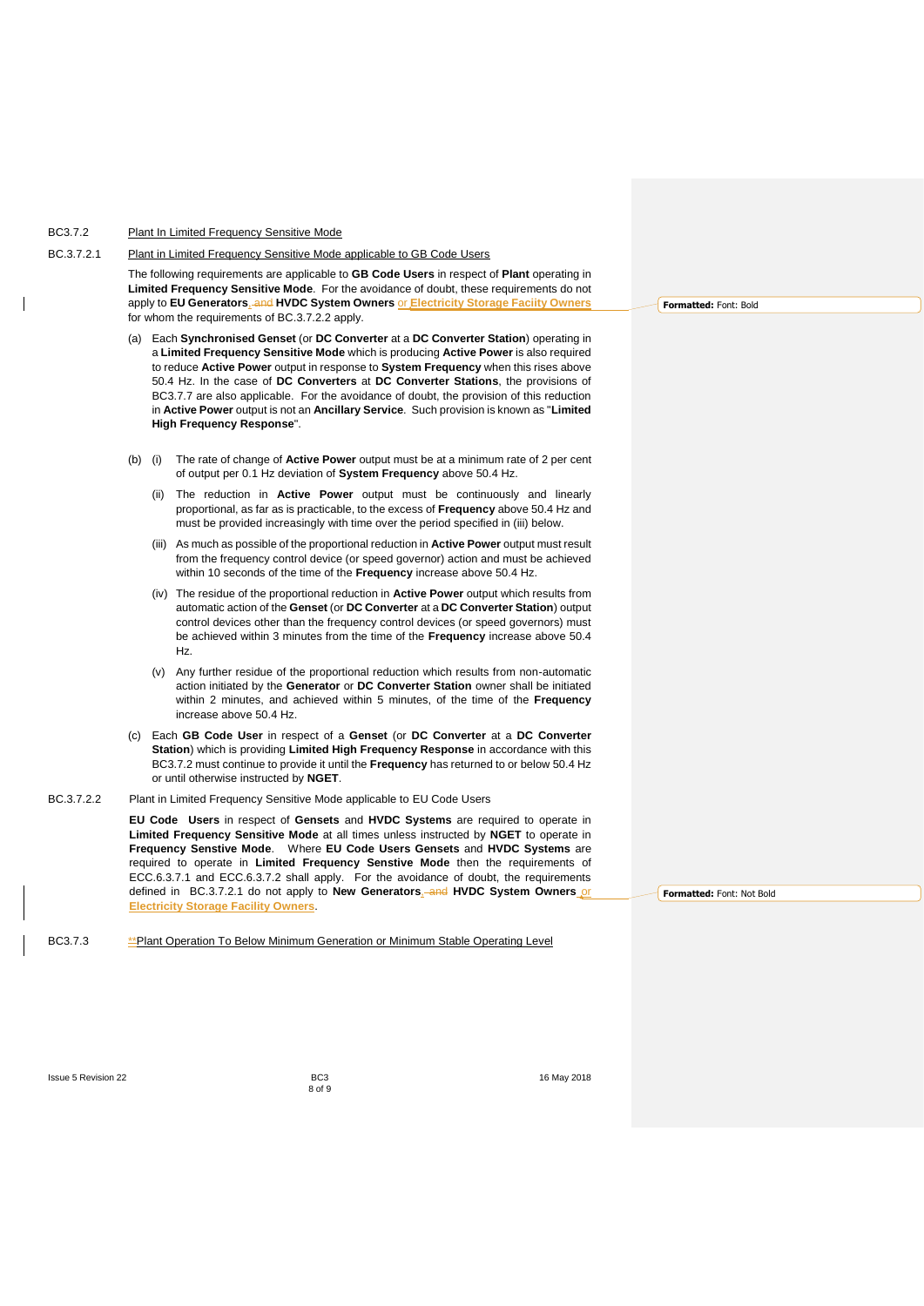## BC3.7.2 Plant In Limited Frequency Sensitive Mode

#### BC.3.7.2.1 Plant in Limited Frequency Sensitive Mode applicable to GB Code Users

The following requirements are applicable to **GB Code Users** in respect of **Plant** operating in **Limited Frequency Sensitive Mode**.For the avoidance of doubt, these requirements do not apply to **EU Generators**, and **HVDC System Owners** or **Electricity Storage Faciity Owners** for whom the requirements of BC.3.7.2.2 apply.

- <span id="page-7-0"></span>(a) Each **Synchronised Genset** (or **DC Converter** at a **DC Converter Station**) operating in a **Limited Frequency Sensitive Mode** which is producing **Active Power** is also required to reduce **Active Power** output in response to **System Frequency** when this rises above 50.4 Hz. In the case of **DC Converters** at **DC Converter Stations**, the provisions of BC3.7.7 are also applicable. For the avoidance of doubt, the provision of this reduction in **Active Power** output is not an **Ancillary Service**. Such provision is known as "**Limited High Frequency Response**".
- (b) (i) The rate of change of **Active Power** output must be at a minimum rate of 2 per cent of output per 0.1 Hz deviation of **System Frequency** above 50.4 Hz.
	- (ii) The reduction in **Active Power** output must be continuously and linearly proportional, as far as is practicable, to the excess of **Frequency** above 50.4 Hz and must be provided increasingly with time over the period specified in (iii) below.
	- (iii) As much as possible of the proportional reduction in **Active Power** output must result from the frequency control device (or speed governor) action and must be achieved within 10 seconds of the time of the **Frequency** increase above 50.4 Hz.
	- (iv) The residue of the proportional reduction in **Active Power** output which results from automatic action of the **Genset** (or **DC Converter** at a **DC Converter Station**) output control devices other than the frequency control devices (or speed governors) must be achieved within 3 minutes from the time of the **Frequency** increase above 50.4 Hz.
	- (v) Any further residue of the proportional reduction which results from non-automatic action initiated by the **Generator** or **DC Converter Station** owner shall be initiated within 2 minutes, and achieved within 5 minutes, of the time of the **Frequency**  increase above 50.4 Hz.
- (c) Each **GB Code User** in respect of a **Genset** (or **DC Converter** at a **DC Converter Station**) which is providing **Limited High Frequency Response** in accordance with this BC3.7.2 must continue to provide it until the **Frequency** has returned to or below 50.4 Hz or until otherwise instructed by **NGET**.
- BC.3.7.2.2 Plant in Limited Frequency Sensitive Mode applicable to EU Code Users

**EU Code Users** in respect of **Gensets** and **HVDC Systems** are required to operate in **Limited Frequency Sensitive Mode** at all times unless instructed by **NGET** to operate in **Frequency Senstive Mode**.Where **EU Code Users Gensets** and **HVDC Systems** are required to operate in **Limited Frequency Senstive Mode** then the requirements of ECC.6.3.7.1 and ECC.6.3.7.2 shall apply. For the avoidance of doubt, the requirements defined in BC.3.7.2.1 do not apply to **New Generators**, and **HVDC System Owners** or **Electricity Storage Facility Owners**.

BC3.7.3 \*\*\* Plant Operation To Below Minimum Generation or Minimum Stable Operating Level

**Formatted:** Font: Bold

<span id="page-7-1"></span>**Formatted:** Font: Not Bold

Issue 5 Revision 22 **Issue 5 Revision 22 BC3** BC3 **16 May 2018** 

8 of 9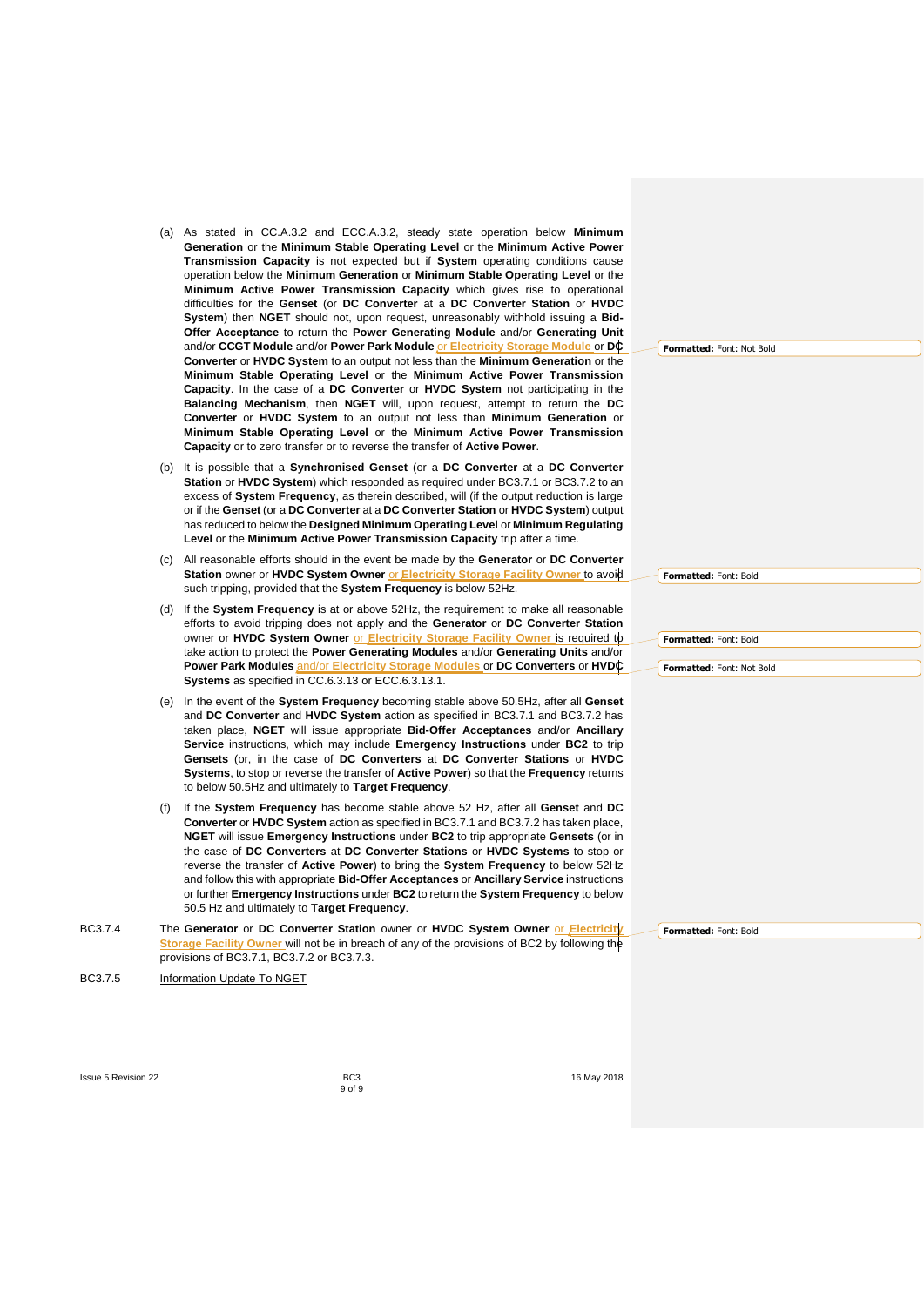- (a) As stated in CC.A.3.2 and ECC.A.3.2, steady state operation below **Minimum Generation** or the **Minimum Stable Operating Level** or the **Minimum Active Power Transmission Capacity** is not expected but if **System** operating conditions cause operation below the **Minimum Generation** or **Minimum Stable Operating Level** or the **Minimum Active Power Transmission Capacity** which gives rise to operational difficulties for the **Genset** (or **DC Converter** at a **DC Converter Station** or **HVDC System**) then **NGET** should not, upon request, unreasonably withhold issuing a **Bid-Offer Acceptance** to return the **Power Generating Module** and/or **Generating Unit** and/or **CCGT Module** and/or **Power Park Module** or **Electricity Storage Module** or **DC Converter** or **HVDC System** to an output not less than the **Minimum Generation** or the **Minimum Stable Operating Level** or the **Minimum Active Power Transmission Capacity**. In the case of a **DC Converter** or **HVDC System** not participating in the **Balancing Mechanism**, then **NGET** will, upon request, attempt to return the **DC Converter** or **HVDC System** to an output not less than **Minimum Generation** or **Minimum Stable Operating Level** or the **Minimum Active Power Transmission Capacity** or to zero transfer or to reverse the transfer of **Active Power**.
- (b) It is possible that a **Synchronised Genset** (or a **DC Converter** at a **DC Converter Station** or **HVDC System**) which responded as required under BC3.7.1 or BC3.7.2 to an excess of **System Frequency**, as therein described, will (if the output reduction is large or if the **Genset** (or a **DC Converter** at a **DC Converter Station** or **HVDC System**) output has reduced to below the **Designed Minimum Operating Level** or **Minimum Regulating Level** or the **Minimum Active Power Transmission Capacity** trip after a time.
- (c) All reasonable efforts should in the event be made by the **Generator** or **DC Converter Station** owner or HVDC System Owner or **Electricity Storage Facility Owner** to avoid such tripping, provided that the **System Frequency** is below 52Hz.
- (d) If the **System Frequency** is at or above 52Hz, the requirement to make all reasonable efforts to avoid tripping does not apply and the **Generator** or **DC Converter Station** owner or **HVDC System Owner** or **Electricity Storage Facility Owner** is required to take action to protect the **Power Generating Modules** and/or **Generating Units** and/or **Power Park Modules** and/or **Electricity Storage Modules** or **DC Converters** or **HVDC Systems** as specified in CC.6.3.13 or ECC.6.3.13.1.
- (e) In the event of the **System Frequency** becoming stable above 50.5Hz, after all **Genset** and **DC Converter** and **HVDC System** action as specified in BC3.7.1 and BC3.7.2 has taken place, **NGET** will issue appropriate **Bid-Offer Acceptances** and/or **Ancillary Service** instructions, which may include **Emergency Instructions** under **BC2** to trip **Gensets** (or, in the case of **DC Converters** at **DC Converter Stations** or **HVDC Systems**, to stop or reverse the transfer of **Active Power**) so that the **Frequency** returns to below 50.5Hz and ultimately to **Target Frequency**.
- (f) If the **System Frequency** has become stable above 52 Hz, after all **Genset** and **DC Converter** or **HVDC System** action as specified in BC3.7.1 and BC3.7.2 has taken place, **NGET** will issue **Emergency Instructions** under **BC2** to trip appropriate **Gensets** (or in the case of **DC Converters** at **DC Converter Stations** or **HVDC Systems** to stop or reverse the transfer of **Active Power**) to bring the **System Frequency** to below 52Hz and follow this with appropriate **Bid-Offer Acceptances** or **Ancillary Service** instructions or further **Emergency Instructions** under **BC2** to return the **System Frequency** to below 50.5 Hz and ultimately to **Target Frequency**.
- BC3.7.4 The **Generator** or **DC Converter Station** owner or **HVDC System Owner** or **Electricity Storage Facility Owner** will not be in breach of any of the provisions of BC2 by following the provisions of BC3.7.1, BC3.7.2 or BC3.7.3.
- BC3.7.5 Information Update To NGET

**Formatted:** Font: Not Bold

**Formatted:** Font: Bold

**Formatted:** Font: Not Bold

**Formatted:** Font: Bold

**Formatted:** Font: Bold

**Issue 5 Revision 22 BC3 BC3 BC3 If the set of the set of the set of the set of the set of the set of the set of the set of the set of the set of the set of the set of the set of the set of the set of the set of th** 

<span id="page-8-0"></span>9 of 9